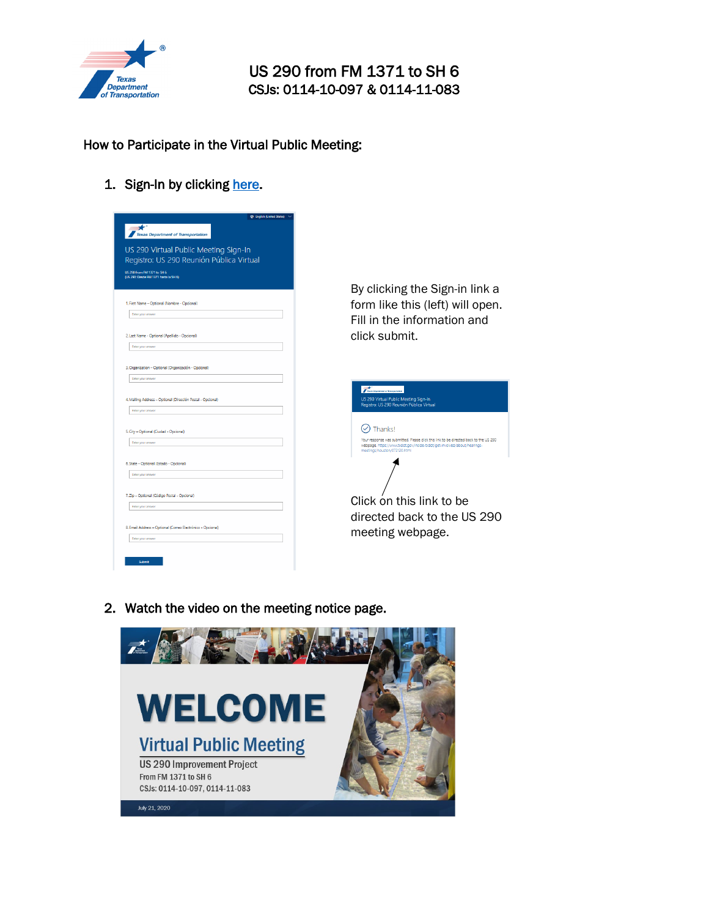

## US 290 from FM 1371 to SH 6 CSJs: 0114-10-097 & 0114-11-083

## How to Participate in the Virtual Public Meeting:

1. Sign-In by clicking [here.](https://forms.office.com/Pages/ResponsePage.aspx?id=Its-90vQnUSNC9tFVVoPXbq8zTdcx7dPou7IqI-H1XNUNEEyT0RQSElCSkFHNVUxRUtYMFhRSTBCRS4u)

| $\bigstar$<br><b>Texas Department of Transportation</b>                           |      |
|-----------------------------------------------------------------------------------|------|
| US 290 Virtual Public Meeting Sign-In<br>Registro: US 290 Reunión Pública Virtual |      |
| US 290 from FM 1371 to SH 6<br>(US 290: Desde FM 1371 hasta la SH 6)              |      |
|                                                                                   | By ہ |
| 1. First Name - Optional (Nombre - Opcional)                                      | forr |
| Enter your answer                                                                 | Fill |
| 2. Last Name - Optional (Apellido - Opcional)                                     | clic |
| Enter your answer                                                                 |      |
| 3. Organization - Optional (Organización - Opcional)<br>Enter your answer         |      |
| 4. Mailing Address - Optional (Dirección Postal - Opcional)                       |      |
| Enter your answer                                                                 |      |
| 5. City - Optional (Gudad - Opcional)                                             |      |
| Enter your answer                                                                 |      |
| 6. State - Optional (Estado - Opcional)                                           |      |
| Enter your answer                                                                 |      |
| 7. Zip - Optional (Código Postal - Opcional)                                      |      |
| Enter your answer                                                                 | Clic |
| 8. Email Address - Optional (Correo Electrónico - Opcional)                       | dire |
|                                                                                   | me   |
| Enter your answer                                                                 |      |

clicking the Sign-in link a m like this (left) will open. in the information and k submit.

| Conservent of Bassourcese<br>US 290 Virtual Public Meeting Sign-In<br>Registro: US 290 Reunión Pública Virtual                                                                                     |  |  |
|----------------------------------------------------------------------------------------------------------------------------------------------------------------------------------------------------|--|--|
|                                                                                                                                                                                                    |  |  |
| Thanks!                                                                                                                                                                                            |  |  |
| Your response was submitted. Please click this link to be directed back to the US 290<br>webpage. https://www.txdot.gov/inside-txdot/get-involved/about/hearings-<br>meetings/houstory/072120.html |  |  |
|                                                                                                                                                                                                    |  |  |
| Click on this link to be                                                                                                                                                                           |  |  |
| directed back to the US 290<br>meeting webpage.                                                                                                                                                    |  |  |
|                                                                                                                                                                                                    |  |  |

2. Watch the video on the meeting notice page.

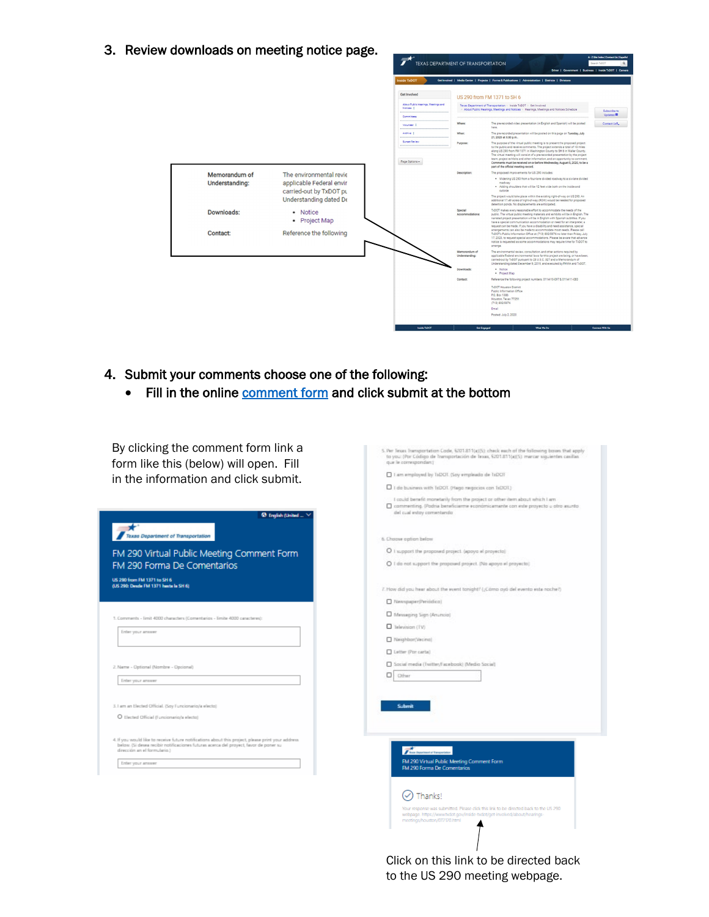3. Review downloads on meeting notice page.



- 4. Submit your comments choose one of the following:
	- Fill in the online [comment form](https://forms.office.com/Pages/ResponsePage.aspx?id=Its-90vQnUSNC9tFVVoPXbq8zTdcx7dPou7IqI-H1XNUQkhBTjJQQlkzQzNGTjZPRFpaMUpVT1RZQi4u) and click submit at the bottom

By clicking the comment form link a form like this (below) will open. Fill in the information and click submit.

|                                                                                                                                                                                                                             | I do business with 1sDOT. (Hago respocias con 1sDOT.)                                                                                                                                             |
|-----------------------------------------------------------------------------------------------------------------------------------------------------------------------------------------------------------------------------|---------------------------------------------------------------------------------------------------------------------------------------------------------------------------------------------------|
| <sup>6</sup> English (United                                                                                                                                                                                                | I could benefit monetarily from the project or other item about which I am<br>commerting. (Podria beneficiarme económicamante con este proyecto o otro asunto<br>del cual estay comentando        |
| <b>Texas Department of Transportation</b>                                                                                                                                                                                   | 6. Choose option below                                                                                                                                                                            |
| FM 290 Virtual Public Meeting Comment Form                                                                                                                                                                                  | O I support the proposed project. (appyo al proyecto)                                                                                                                                             |
| FM 290 Forma De Comentarios                                                                                                                                                                                                 | O I do not support the proposed project. (No apoyo el proyecto)                                                                                                                                   |
| US 290 from FM 1371 to SH 6<br>(US 290: Deade FM 1371 hasta la SH 6)                                                                                                                                                        | 7. How did you hear about the event tonight? {¿Como pyo del evento esta noche?}                                                                                                                   |
|                                                                                                                                                                                                                             | Newspaper(Periodico)                                                                                                                                                                              |
|                                                                                                                                                                                                                             |                                                                                                                                                                                                   |
| 1. Comments - limit 4000 characters (Comentarios - limite 4000 caracteres):                                                                                                                                                 | Messaging Sign (Anuncio)                                                                                                                                                                          |
| Enter your annwer                                                                                                                                                                                                           | Television (TV)                                                                                                                                                                                   |
|                                                                                                                                                                                                                             | Neighbor(Vecino)                                                                                                                                                                                  |
|                                                                                                                                                                                                                             | Letter (Por carbs)                                                                                                                                                                                |
| 2. Name - Optional (Nombre - Opcional)                                                                                                                                                                                      | Social media (Turtter/Facebook) (Medio Social)                                                                                                                                                    |
| Enter your annwer                                                                                                                                                                                                           | □<br>Other                                                                                                                                                                                        |
|                                                                                                                                                                                                                             |                                                                                                                                                                                                   |
| 3.1 am an Elected Official. (Say Funcionario/a electo)                                                                                                                                                                      | Submit                                                                                                                                                                                            |
| O Elected Official (Funcionario/a electo)                                                                                                                                                                                   |                                                                                                                                                                                                   |
|                                                                                                                                                                                                                             |                                                                                                                                                                                                   |
| 4. If you would like to receive future notifications about this project, please print your address<br>below. (Si desea recibir notificaciones futuras acerca del proyect, favor de poner su<br>dirección an el formulario.) | Thus Downton's Tangeridor                                                                                                                                                                         |
| Enter your annwer                                                                                                                                                                                                           | FM 290 Virtual Public Meeting Comment Form<br>FM 290 Forma De Comentarios                                                                                                                         |
|                                                                                                                                                                                                                             |                                                                                                                                                                                                   |
|                                                                                                                                                                                                                             | Thanks!                                                                                                                                                                                           |
|                                                                                                                                                                                                                             | Your response was submitted. Please click this link to be directed back to the US 290<br>webpage. https://www.txdot.gov/inside-txdot/get-involved/about/hearings-<br>meetings/houston/072120.html |
|                                                                                                                                                                                                                             |                                                                                                                                                                                                   |

Click on this link to be directed back to the US 290 meeting webpage.

5. Per fexes framportation Code, 6201.811(a)(5): check each of the following boxes that apply to you: (Per Codigo de Interpretación de Texas, 6201.811(a)(5): mercar siguientes casillas que le correspondant)

1 am employed by 1xDCF. (Soy empleads de 1xDCF